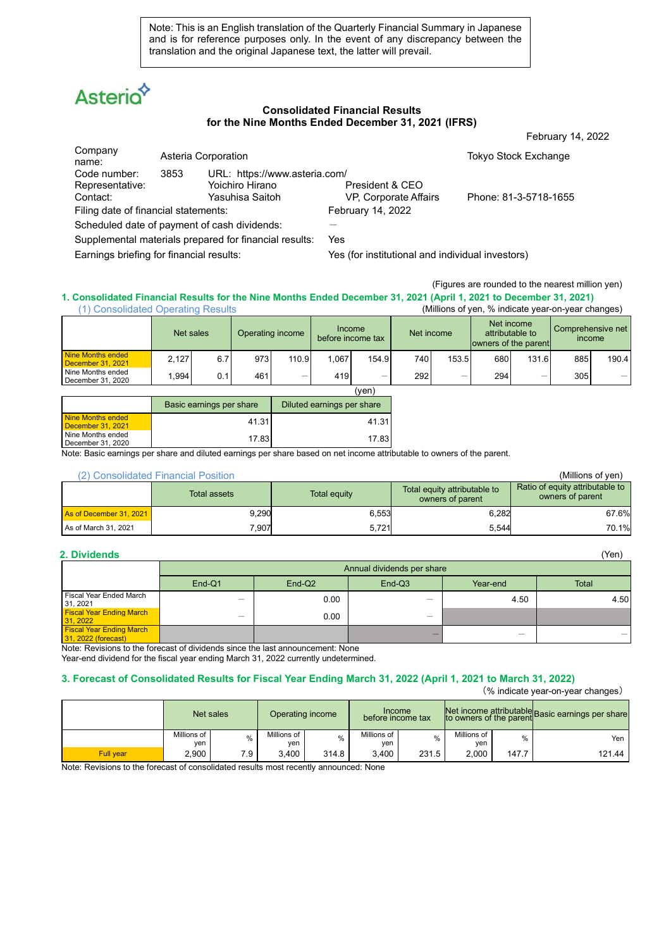Note: This is an English translation of the Quarterly Financial Summary in Japanese and is for reference purposes only. In the event of any discrepancy between the translation and the original Japanese text, the latter will prevail.

# **Asterio**

#### **Consolidated Financial Results for the Nine Months Ended December 31, 2021 (IFRS)**

|                                                        |      |                               |                       | February 14, 2022           |
|--------------------------------------------------------|------|-------------------------------|-----------------------|-----------------------------|
| Company<br>name:                                       |      | Asteria Corporation           |                       | <b>Tokyo Stock Exchange</b> |
| Code number:                                           | 3853 | URL: https://www.asteria.com/ |                       |                             |
| Representative:                                        |      | Yoichiro Hirano               | President & CEO       |                             |
| Contact:                                               |      | Yasuhisa Saitoh               | VP, Corporate Affairs | Phone: 81-3-5718-1655       |
| Filing date of financial statements:                   |      |                               | February 14, 2022     |                             |
| Scheduled date of payment of cash dividends:           |      |                               |                       |                             |
| Supplemental materials prepared for financial results: |      |                               | Yes                   |                             |

Earnings briefing for financial results: Yes (for institutional and individual investors)

(Figures are rounded to the nearest million yen)

#### **1. Consolidated Financial Results for the Nine Months Ended December 31, 2021 (April 1, 2021 to December 31, 2021)** (Millions of yen, % indicate year-on-year changes)

| 1, concentration oportunity recenter     |       |                          |                  |       |                             |       |     |            |                      |                               |        |                   |
|------------------------------------------|-------|--------------------------|------------------|-------|-----------------------------|-------|-----|------------|----------------------|-------------------------------|--------|-------------------|
|                                          |       | Net sales                | Operating income |       | Income<br>before income tax |       |     | Net income | owners of the parent | Net income<br>attributable to | income | Comprehensive net |
| Nine Months ended<br>December 31, 2021   | 2.127 | 6.7                      | 973              | 110.9 | 1.067                       | 154.9 | 740 | 153.5      | 680                  | 131.6                         | 885    | 190.4             |
| Nine Months ended<br>December 31, 2020   | .994  | 0.1                      | 461              | -     | 419                         | –     | 292 | -          | 294                  | _                             | 305    |                   |
|                                          |       |                          |                  |       |                             | (ven) |     |            |                      |                               |        |                   |
|                                          |       | Basic earnings per share |                  |       | Diluted earnings per share  |       |     |            |                      |                               |        |                   |
| Nine Months ended<br>December $31, 2021$ |       |                          | 41.31            |       |                             | 41.31 |     |            |                      |                               |        |                   |

| I Nine Months ended | 7.83                                                                                                                    | 7.83 |  |
|---------------------|-------------------------------------------------------------------------------------------------------------------------|------|--|
| December 31, 2020   |                                                                                                                         |      |  |
|                     | Note: Basic earnings per share and diluted earnings per share based on net income attributable to owners of the parent. |      |  |

## (2) Consolidated Financial Position (Millions of yen)

| $\sim$<br><u>UUTIUUTIUUTUU TIITUIUI TUUTIUT</u> |              |                     |                                                  |                                                     |
|-------------------------------------------------|--------------|---------------------|--------------------------------------------------|-----------------------------------------------------|
|                                                 | Total assets | <b>Total equity</b> | Total equity attributable to<br>owners of parent | Ratio of equity attributable to<br>owners of parent |
| As of December 31, 2021                         | 9.290        | 6.553               | 6,282                                            | 67.6%                                               |
| As of March 31, 2021                            | 7,907        | 5,721               | 5,544                                            | 70.1%                                               |

**Nine Months ended** 

| 2. Dividends                                           |        |                            |          |          | (Yen) |  |  |  |  |
|--------------------------------------------------------|--------|----------------------------|----------|----------|-------|--|--|--|--|
|                                                        |        | Annual dividends per share |          |          |       |  |  |  |  |
|                                                        | End-Q1 | End-Q <sub>2</sub>         | $End-Q3$ | Year-end | Total |  |  |  |  |
| Fiscal Year Ended March<br>31, 2021                    | _      | 0.00                       | –        | 4.50     | 4.50  |  |  |  |  |
| <b>Fiscal Year Ending March</b><br>31, 2022            | _      | 0.00                       | -        |          |       |  |  |  |  |
| <b>Fiscal Year Ending March</b><br>31, 2022 (forecast) |        |                            | –        | -        |       |  |  |  |  |

Note: Revisions to the forecast of dividends since the last announcement: None Year-end dividend for the fiscal year ending March 31, 2022 currently undetermined.

### **3. Forecast of Consolidated Results for Fiscal Year Ending March 31, 2022 (April 1, 2021 to March 31, 2022)**

(% indicate year-on-year changes)

|           |                    | Net sales |                    | Operating income | <b>Income</b><br>before income tax |       |                    |       | Net income attributable<br>to owners of the parent Basic earnings per share |
|-----------|--------------------|-----------|--------------------|------------------|------------------------------------|-------|--------------------|-------|-----------------------------------------------------------------------------|
|           | Millions of<br>ven | 0/2       | Millions of<br>ven | %                | Millions of<br>ven                 | $\%$  | Millions of<br>ven | $\%$  | Yen                                                                         |
| Full vear | 2.900              | 7.9       | 3.400              | 314.8            | 3.400                              | 231.5 | 2.000              | 147.7 | 121.44                                                                      |

Note: Revisions to the forecast of consolidated results most recently announced: None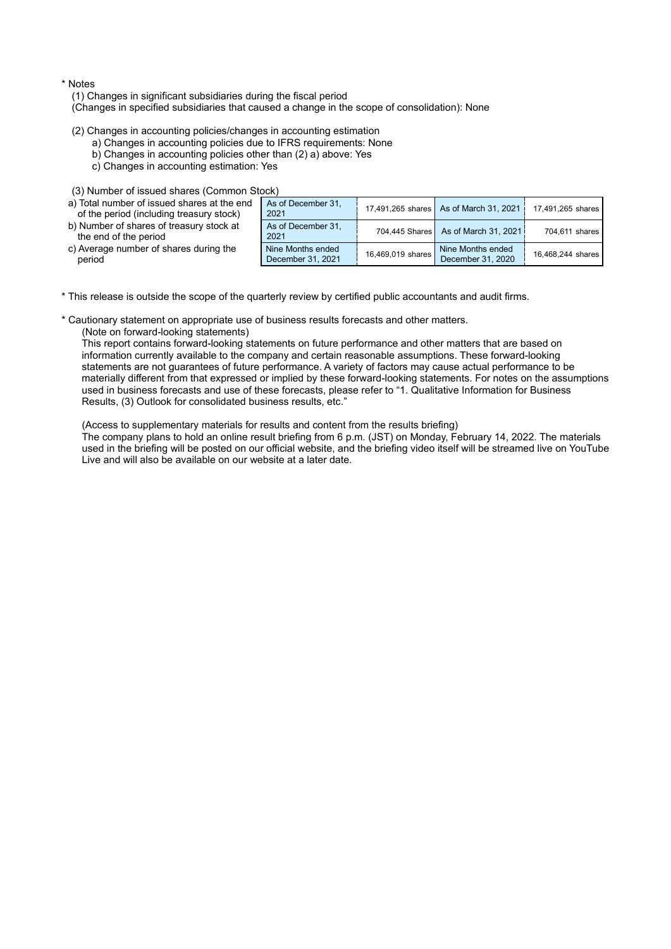#### \* Notes

(1) Changes in significant subsidiaries during the fiscal period

(Changes in specified subsidiaries that caused a change in the scope of consolidation): None

(2) Changes in accounting policies/changes in accounting estimation

- a) Changes in accounting policies due to IFRS requirements: None
- b) Changes in accounting policies other than (2) a) above: Yes
- c) Changes in accounting estimation: Yes

|  | (3) Number of issued shares (Common Stock) |  |  |  |
|--|--------------------------------------------|--|--|--|
|--|--------------------------------------------|--|--|--|

| a) Total number of issued shares at the end<br>of the period (including treasury stock) | As of December 31,<br>2021             |                   | 17,491,265 shares As of March 31, 2021 | 17,491,265 shares |
|-----------------------------------------------------------------------------------------|----------------------------------------|-------------------|----------------------------------------|-------------------|
| b) Number of shares of treasury stock at<br>the end of the period                       | As of December 31,<br>2021             |                   | 704,445 Shares As of March 31, 2021    | 704,611 shares    |
| c) Average number of shares during the<br>period                                        | Nine Months ended<br>December 31, 2021 | 16,469,019 shares | Nine Months ended<br>December 31, 2020 | 16,468,244 shares |

\* This release is outside the scope of the quarterly review by certified public accountants and audit firms.

\* Cautionary statement on appropriate use of business results forecasts and other matters.

(Note on forward-looking statements)

This report contains forward-looking statements on future performance and other matters that are based on information currently available to the company and certain reasonable assumptions. These forward-looking statements are not guarantees of future performance. A variety of factors may cause actual performance to be materially different from that expressed or implied by these forward-looking statements. For notes on the assumptions used in business forecasts and use of these forecasts, please refer to "1. Qualitative Information for Business Results, (3) Outlook for consolidated business results, etc."

(Access to supplementary materials for results and content from the results briefing)

The company plans to hold an online result briefing from 6 p.m. (JST) on Monday, February 14, 2022. The materials used in the briefing will be posted on our official website, and the briefing video itself will be streamed live on YouTube Live and will also be available on our website at a later date.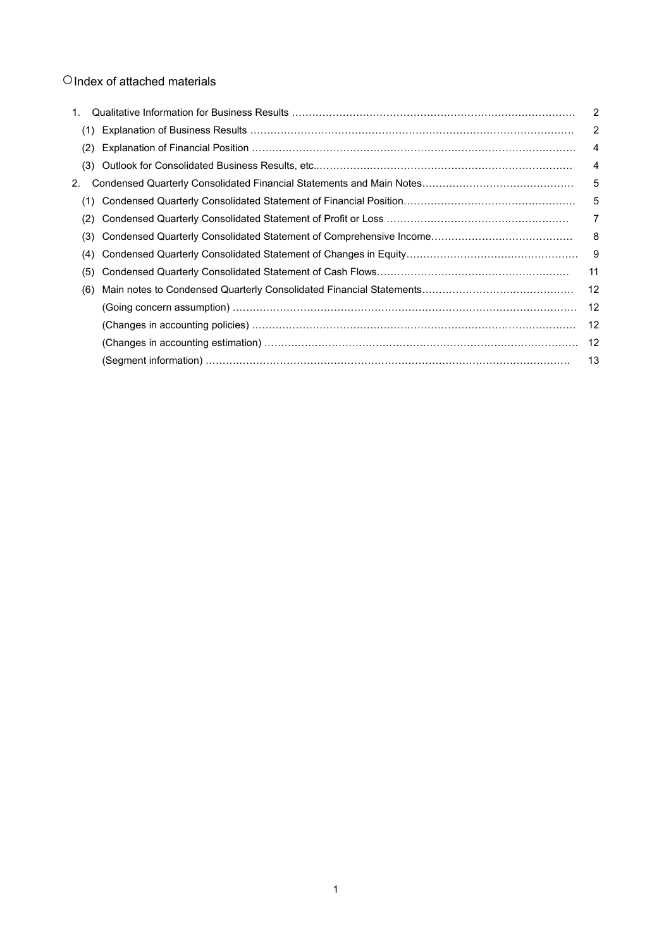# ○Index of attached materials

| 1. |     |                                                                     | 2              |
|----|-----|---------------------------------------------------------------------|----------------|
|    | (1) |                                                                     | 2              |
|    | (2) |                                                                     | 4              |
|    | (3) |                                                                     | $\overline{4}$ |
| 2. |     |                                                                     | 5              |
|    | (1) |                                                                     | 5              |
|    | (2) |                                                                     | 7              |
|    | (3) |                                                                     | 8              |
|    | (4) |                                                                     | - 9            |
|    | (5) |                                                                     | 11             |
|    | (6) |                                                                     | 12             |
|    |     | (Going concern assumption) ……………………………………………………………………………………………      | 12             |
|    |     | (Changes in accounting policies) ………………………………………………………………………………………… | 12             |
|    |     | (Changes in accounting estimation) …………………………………………………………………………………… | -12            |
|    |     |                                                                     | 13             |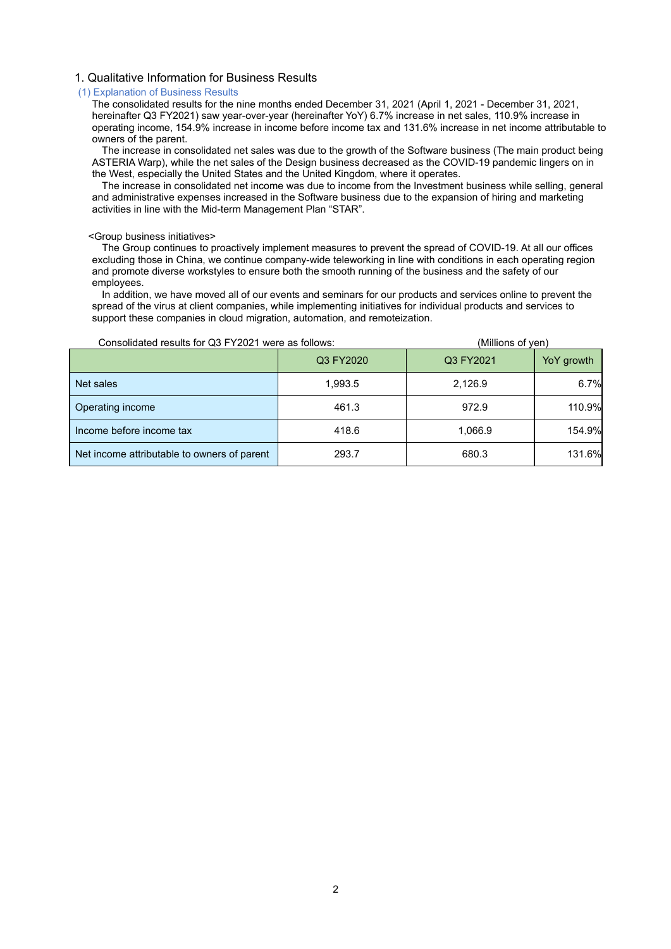#### 1. Qualitative Information for Business Results

#### (1) Explanation of Business Results

The consolidated results for the nine months ended December 31, 2021 (April 1, 2021 - December 31, 2021, hereinafter Q3 FY2021) saw year-over-year (hereinafter YoY) 6.7% increase in net sales, 110.9% increase in operating income, 154.9% increase in income before income tax and 131.6% increase in net income attributable to owners of the parent.

The increase in consolidated net sales was due to the growth of the Software business (The main product being ASTERIA Warp), while the net sales of the Design business decreased as the COVID-19 pandemic lingers on in the West, especially the United States and the United Kingdom, where it operates.

The increase in consolidated net income was due to income from the Investment business while selling, general and administrative expenses increased in the Software business due to the expansion of hiring and marketing activities in line with the Mid-term Management Plan "STAR".

#### <Group business initiatives>

The Group continues to proactively implement measures to prevent the spread of COVID-19. At all our offices excluding those in China, we continue company-wide teleworking in line with conditions in each operating region and promote diverse workstyles to ensure both the smooth running of the business and the safety of our employees.

In addition, we have moved all of our events and seminars for our products and services online to prevent the spread of the virus at client companies, while implementing initiatives for individual products and services to support these companies in cloud migration, automation, and remoteization.

| Consolidated results for Q3 FY2021 were as follows: |           | (Millions of ven) |            |
|-----------------------------------------------------|-----------|-------------------|------------|
|                                                     | Q3 FY2020 | Q3 FY2021         | YoY growth |
| Net sales                                           | 1,993.5   | 2,126.9           | 6.7%       |
| Operating income                                    | 461.3     | 972.9             | 110.9%     |
| Income before income tax                            | 418.6     | 1,066.9           | 154.9%     |
| Net income attributable to owners of parent         | 293.7     | 680.3             | 131.6%     |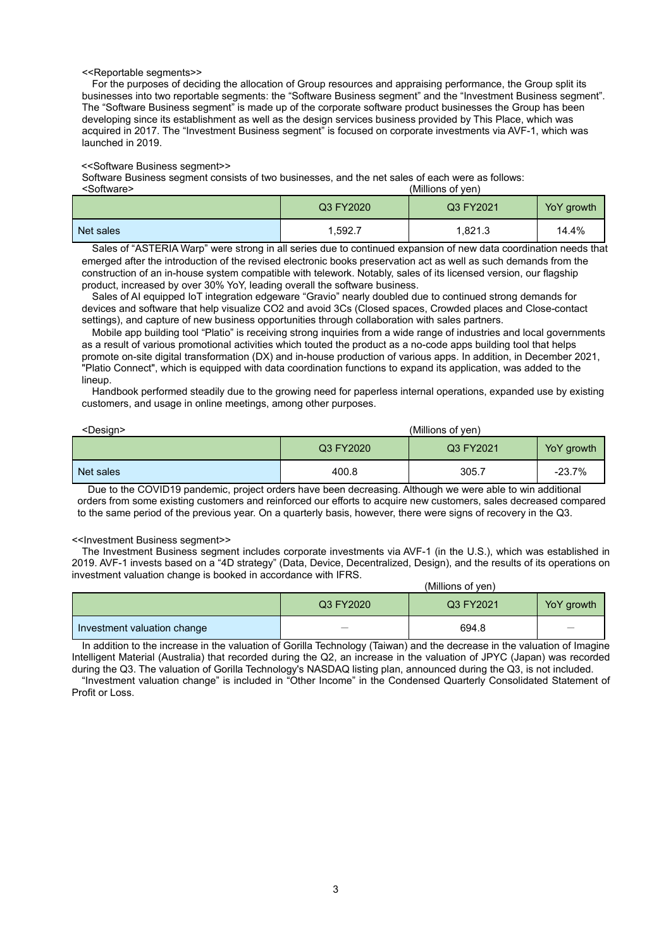#### <<Reportable segments>>

For the purposes of deciding the allocation of Group resources and appraising performance, the Group split its businesses into two reportable segments: the "Software Business segment" and the "Investment Business segment". The "Software Business segment" is made up of the corporate software product businesses the Group has been developing since its establishment as well as the design services business provided by This Place, which was acquired in 2017. The "Investment Business segment" is focused on corporate investments via AVF-1, which was launched in 2019.

#### <<Software Business segment>>

Software Business segment consists of two businesses, and the net sales of each were as follows:<br><Software> (Millions of ven)

(Millions of yen)

|           | Q3 FY2020 | Q3 FY2021 | YoY growth |
|-----------|-----------|-----------|------------|
| Net sales | 1,592.7   | 1,821.3   | 14.4%      |

Sales of "ASTERIA Warp" were strong in all series due to continued expansion of new data coordination needs that emerged after the introduction of the revised electronic books preservation act as well as such demands from the construction of an in-house system compatible with telework. Notably, sales of its licensed version, our flagship product, increased by over 30% YoY, leading overall the software business.

Sales of AI equipped IoT integration edgeware "Gravio" nearly doubled due to continued strong demands for devices and software that help visualize CO2 and avoid 3Cs (Closed spaces, Crowded places and Close-contact settings), and capture of new business opportunities through collaboration with sales partners.

Mobile app building tool "Platio" is receiving strong inquiries from a wide range of industries and local governments as a result of various promotional activities which touted the product as a no-code apps building tool that helps promote on-site digital transformation (DX) and in-house production of various apps. In addition, in December 2021, "Platio Connect", which is equipped with data coordination functions to expand its application, was added to the lineup.

Handbook performed steadily due to the growing need for paperless internal operations, expanded use by existing customers, and usage in online meetings, among other purposes.

| <design></design> | (Millions of yen) |           |            |
|-------------------|-------------------|-----------|------------|
|                   | Q3 FY2020         | Q3 FY2021 | YoY growth |
| Net sales         | 400.8             | 305.7     | $-23.7%$   |

Due to the COVID19 pandemic, project orders have been decreasing. Although we were able to win additional orders from some existing customers and reinforced our efforts to acquire new customers, sales decreased compared to the same period of the previous year. On a quarterly basis, however, there were signs of recovery in the Q3.

#### <<Investment Business segment>>

The Investment Business segment includes corporate investments via AVF-1 (in the U.S.), which was established in 2019. AVF-1 invests based on a "4D strategy" (Data, Device, Decentralized, Design), and the results of its operations on investment valuation change is booked in accordance with IFRS.  $(M)$ illions of year)

|                             | (Millions of Ven) |           |                 |  |  |
|-----------------------------|-------------------|-----------|-----------------|--|--|
|                             | Q3 FY2020         | Q3 FY2021 | YoY growth      |  |  |
| Investment valuation change | —                 | 694.8     | $\qquad \qquad$ |  |  |

In addition to the increase in the valuation of Gorilla Technology (Taiwan) and the decrease in the valuation of Imagine Intelligent Material (Australia) that recorded during the Q2, an increase in the valuation of JPYC (Japan) was recorded during the Q3. The valuation of Gorilla Technology's NASDAQ listing plan, announced during the Q3, is not included.

"Investment valuation change" is included in "Other Income" in the Condensed Quarterly Consolidated Statement of Profit or Loss.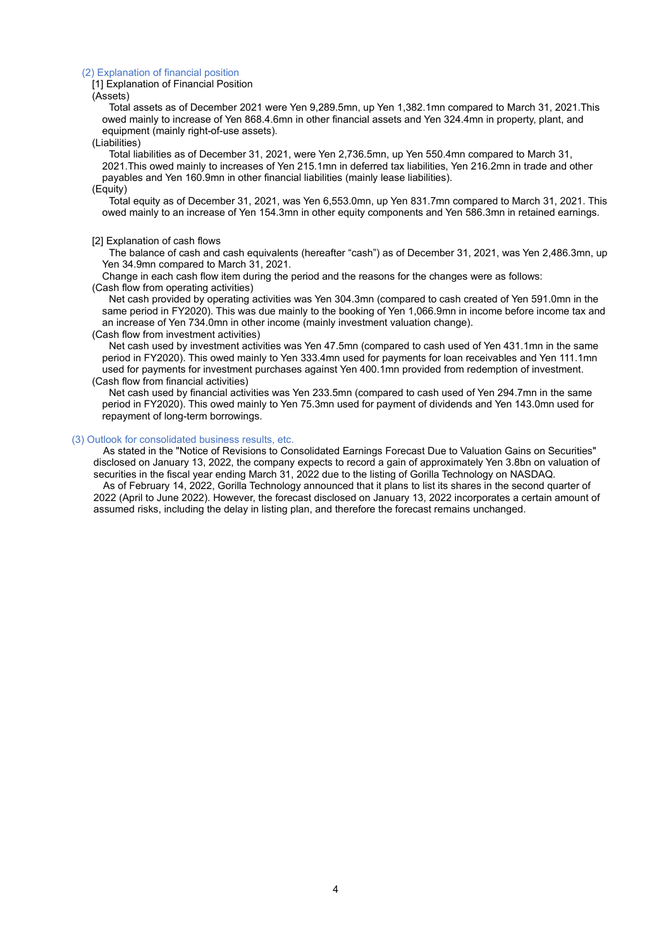#### (2) Explanation of financial position

[1] Explanation of Financial Position

(Assets)

Total assets as of December 2021 were Yen 9,289.5mn, up Yen 1,382.1mn compared to March 31, 2021.This owed mainly to increase of Yen 868.4.6mn in other financial assets and Yen 324.4mn in property, plant, and equipment (mainly right-of-use assets).

#### (Liabilities)

Total liabilities as of December 31, 2021, were Yen 2,736.5mn, up Yen 550.4mn compared to March 31, 2021.This owed mainly to increases of Yen 215.1mn in deferred tax liabilities, Yen 216.2mn in trade and other payables and Yen 160.9mn in other financial liabilities (mainly lease liabilities).

(Equity)

Total equity as of December 31, 2021, was Yen 6,553.0mn, up Yen 831.7mn compared to March 31, 2021. This owed mainly to an increase of Yen 154.3mn in other equity components and Yen 586.3mn in retained earnings.

#### [2] Explanation of cash flows

The balance of cash and cash equivalents (hereafter "cash") as of December 31, 2021, was Yen 2,486.3mn, up Yen 34.9mn compared to March 31, 2021.

Change in each cash flow item during the period and the reasons for the changes were as follows: (Cash flow from operating activities)

Net cash provided by operating activities was Yen 304.3mn (compared to cash created of Yen 591.0mn in the same period in FY2020). This was due mainly to the booking of Yen 1,066.9mn in income before income tax and an increase of Yen 734.0mn in other income (mainly investment valuation change).

#### (Cash flow from investment activities)

Net cash used by investment activities was Yen 47.5mn (compared to cash used of Yen 431.1mn in the same period in FY2020). This owed mainly to Yen 333.4mn used for payments for loan receivables and Yen 111.1mn used for payments for investment purchases against Yen 400.1mn provided from redemption of investment. (Cash flow from financial activities)

Net cash used by financial activities was Yen 233.5mn (compared to cash used of Yen 294.7mn in the same period in FY2020). This owed mainly to Yen 75.3mn used for payment of dividends and Yen 143.0mn used for repayment of long-term borrowings.

#### (3) Outlook for consolidated business results, etc.

As stated in the "Notice of Revisions to Consolidated Earnings Forecast Due to Valuation Gains on Securities" disclosed on January 13, 2022, the company expects to record a gain of approximately Yen 3.8bn on valuation of securities in the fiscal year ending March 31, 2022 due to the listing of Gorilla Technology on NASDAQ. As of February 14, 2022, Gorilla Technology announced that it plans to list its shares in the second quarter of 2022 (April to June 2022). However, the forecast disclosed on January 13, 2022 incorporates a certain amount of assumed risks, including the delay in listing plan, and therefore the forecast remains unchanged.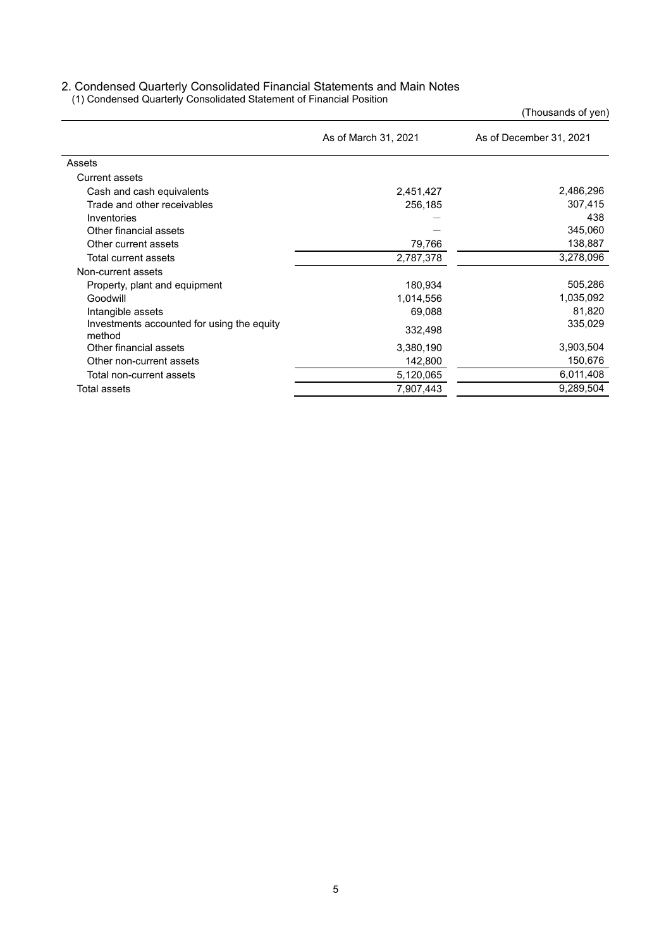#### 2. Condensed Quarterly Consolidated Financial Statements and Main Notes

(1) Condensed Quarterly Consolidated Statement of Financial Position

(Thousands of yen)

|                                                      | As of March 31, 2021 | As of December 31, 2021 |
|------------------------------------------------------|----------------------|-------------------------|
| Assets                                               |                      |                         |
| Current assets                                       |                      |                         |
| Cash and cash equivalents                            | 2,451,427            | 2,486,296               |
| Trade and other receivables                          | 256,185              | 307,415                 |
| Inventories                                          |                      | 438                     |
| Other financial assets                               |                      | 345,060                 |
| Other current assets                                 | 79,766               | 138,887                 |
| Total current assets                                 | 2,787,378            | 3,278,096               |
| Non-current assets                                   |                      |                         |
| Property, plant and equipment                        | 180,934              | 505,286                 |
| Goodwill                                             | 1,014,556            | 1,035,092               |
| Intangible assets                                    | 69,088               | 81,820                  |
| Investments accounted for using the equity<br>method | 332,498              | 335.029                 |
| Other financial assets                               | 3,380,190            | 3,903,504               |
| Other non-current assets                             | 142,800              | 150,676                 |
| Total non-current assets                             | 5,120,065            | 6,011,408               |
| Total assets                                         | 7,907,443            | 9,289,504               |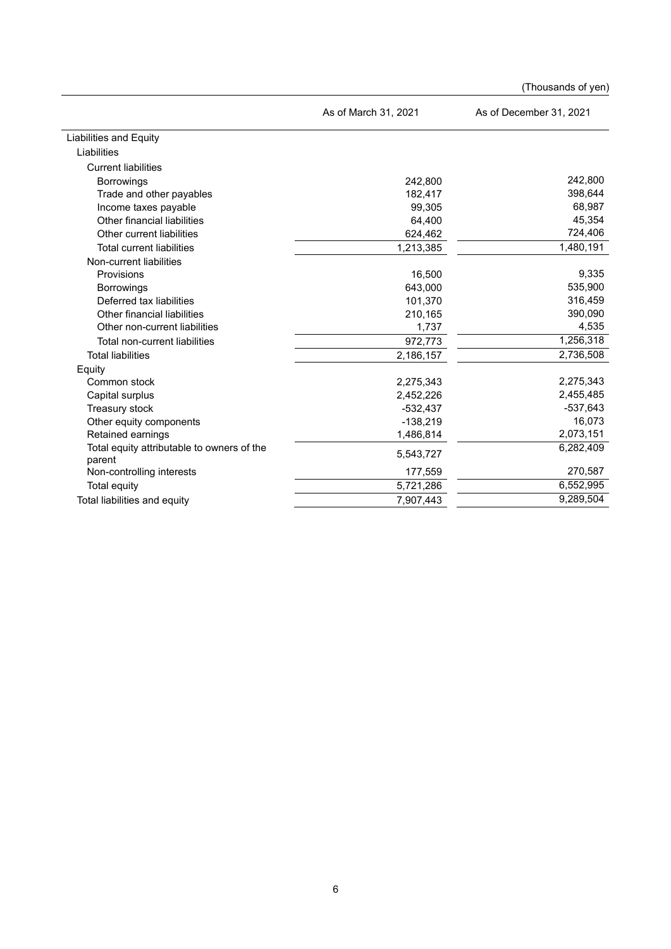|                                                      |                      | (Thousands of yen)      |
|------------------------------------------------------|----------------------|-------------------------|
|                                                      | As of March 31, 2021 | As of December 31, 2021 |
| <b>Liabilities and Equity</b>                        |                      |                         |
| Liabilities                                          |                      |                         |
| <b>Current liabilities</b>                           |                      |                         |
| Borrowings                                           | 242,800              | 242,800                 |
| Trade and other payables                             | 182,417              | 398,644                 |
| Income taxes payable                                 | 99,305               | 68,987                  |
| Other financial liabilities                          | 64,400               | 45,354                  |
| Other current liabilities                            | 624,462              | 724,406                 |
| <b>Total current liabilities</b>                     | 1,213,385            | 1,480,191               |
| Non-current liabilities                              |                      |                         |
| Provisions                                           | 16,500               | 9,335                   |
| <b>Borrowings</b>                                    | 643,000              | 535,900                 |
| Deferred tax liabilities                             | 101,370              | 316,459                 |
| Other financial liabilities                          | 210,165              | 390,090                 |
| Other non-current liabilities                        | 1,737                | 4,535                   |
| Total non-current liabilities                        | 972,773              | 1,256,318               |
| <b>Total liabilities</b>                             | 2,186,157            | 2,736,508               |
| Equity                                               |                      |                         |
| Common stock                                         | 2,275,343            | 2,275,343               |
| Capital surplus                                      | 2,452,226            | 2,455,485               |
| Treasury stock                                       | $-532,437$           | $-537,643$              |
| Other equity components                              | $-138,219$           | 16,073                  |
| Retained earnings                                    | 1,486,814            | 2,073,151               |
| Total equity attributable to owners of the<br>parent | 5,543,727            | 6,282,409               |
| Non-controlling interests                            | 177,559              | 270,587                 |
| Total equity                                         | 5,721,286            | 6,552,995               |
| Total liabilities and equity                         | 7,907,443            | 9,289,504               |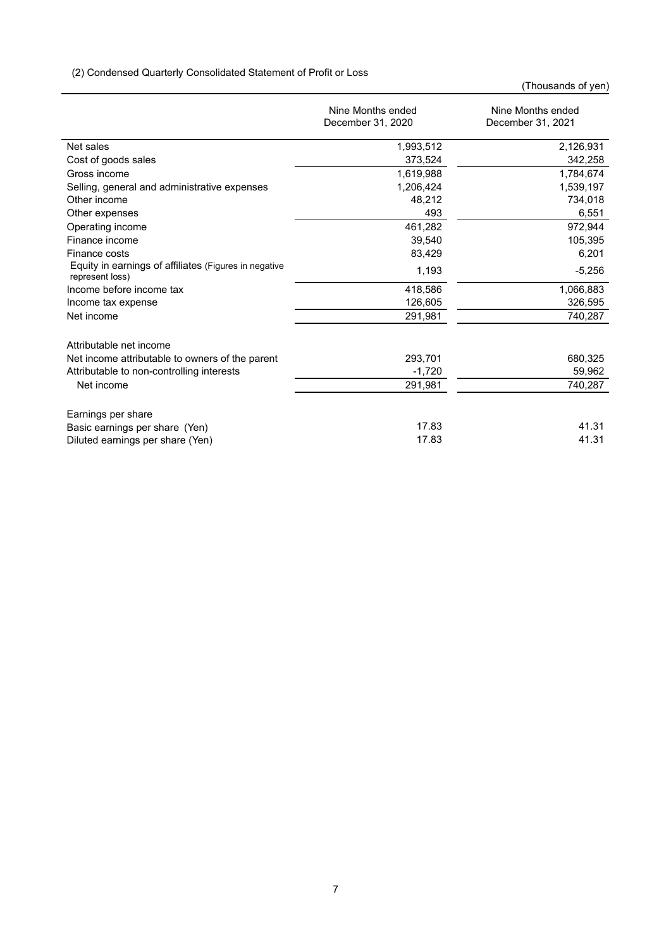(2) Condensed Quarterly Consolidated Statement of Profit or Loss

(Thousands of yen)

|                                                                          | Nine Months ended<br>December 31, 2020 | Nine Months ended<br>December 31, 2021 |
|--------------------------------------------------------------------------|----------------------------------------|----------------------------------------|
| Net sales                                                                | 1,993,512                              | 2,126,931                              |
| Cost of goods sales                                                      | 373,524                                | 342,258                                |
| Gross income                                                             | 1,619,988                              | 1,784,674                              |
| Selling, general and administrative expenses                             | 1,206,424                              | 1,539,197                              |
| Other income                                                             | 48,212                                 | 734,018                                |
| Other expenses                                                           | 493                                    | 6,551                                  |
| Operating income                                                         | 461,282                                | 972,944                                |
| Finance income                                                           | 39.540                                 | 105,395                                |
| Finance costs                                                            | 83,429                                 | 6,201                                  |
| Equity in earnings of affiliates (Figures in negative<br>represent loss) | 1,193                                  | $-5,256$                               |
| Income before income tax                                                 | 418,586                                | 1,066,883                              |
| Income tax expense                                                       | 126,605                                | 326,595                                |
| Net income                                                               | 291,981                                | 740,287                                |
| Attributable net income                                                  |                                        |                                        |
| Net income attributable to owners of the parent                          | 293,701                                | 680,325                                |
| Attributable to non-controlling interests                                | $-1,720$                               | 59,962                                 |
| Net income                                                               | 291,981                                | 740,287                                |
| Earnings per share                                                       |                                        |                                        |
| Basic earnings per share (Yen)                                           | 17.83                                  | 41.31                                  |
| Diluted earnings per share (Yen)                                         | 17.83                                  | 41.31                                  |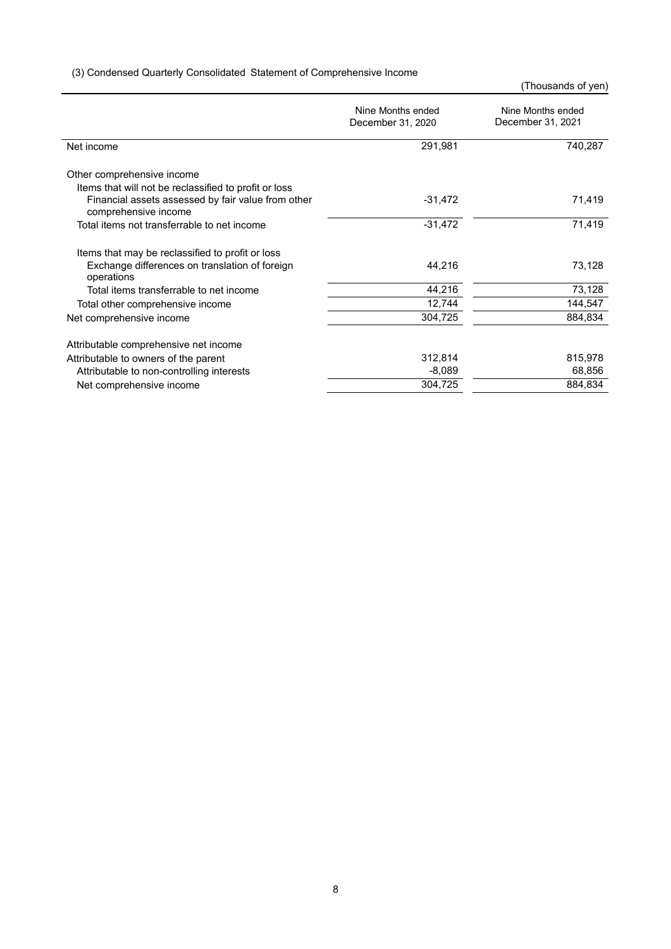# (3) Condensed Quarterly Consolidated Statement of Comprehensive Income

(Thousands of yen)

|                                                                            | Nine Months ended<br>December 31, 2020 | Nine Months ended<br>December 31, 2021 |  |
|----------------------------------------------------------------------------|----------------------------------------|----------------------------------------|--|
| Net income                                                                 | 291,981                                | 740,287                                |  |
| Other comprehensive income                                                 |                                        |                                        |  |
| Items that will not be reclassified to profit or loss                      |                                        |                                        |  |
| Financial assets assessed by fair value from other<br>comprehensive income | $-31,472$                              | 71,419                                 |  |
| Total items not transferrable to net income                                | $-31,472$                              | 71,419                                 |  |
| Items that may be reclassified to profit or loss                           |                                        |                                        |  |
| Exchange differences on translation of foreign<br>operations               | 44,216                                 | 73,128                                 |  |
| Total items transferrable to net income                                    | 44,216                                 | 73,128                                 |  |
| Total other comprehensive income                                           | 12,744                                 | 144,547                                |  |
| Net comprehensive income                                                   | 304,725                                | 884,834                                |  |
| Attributable comprehensive net income                                      |                                        |                                        |  |
| Attributable to owners of the parent                                       | 312,814                                | 815,978                                |  |
| Attributable to non-controlling interests                                  | $-8,089$                               | 68,856                                 |  |
| Net comprehensive income                                                   | 304,725                                | 884,834                                |  |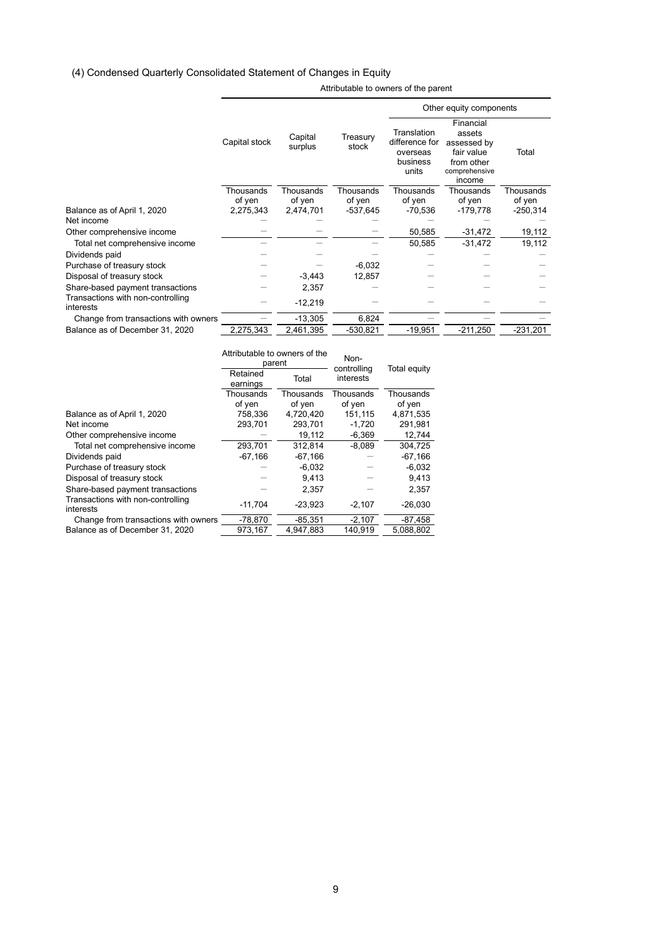# (4) Condensed Quarterly Consolidated Statement of Changes in Equity

|                                                |               |                    |                   |                                                                | Other equity components                                                                   |            |
|------------------------------------------------|---------------|--------------------|-------------------|----------------------------------------------------------------|-------------------------------------------------------------------------------------------|------------|
|                                                | Capital stock | Capital<br>surplus | Treasury<br>stock | Translation<br>difference for<br>overseas<br>business<br>units | Financial<br>assets<br>assessed by<br>fair value<br>from other<br>comprehensive<br>income | Total      |
|                                                | Thousands     | Thousands          | Thousands         | Thousands                                                      | Thousands                                                                                 | Thousands  |
|                                                | of yen        | of yen             | of yen            | of yen                                                         | of yen                                                                                    | of yen     |
| Balance as of April 1, 2020                    | 2,275,343     | 2,474,701          | -537,645          | $-70,536$                                                      | $-179,778$                                                                                | $-250,314$ |
| Net income                                     |               |                    |                   |                                                                |                                                                                           |            |
| Other comprehensive income                     |               |                    |                   | 50,585                                                         | -31,472                                                                                   | 19,112     |
| Total net comprehensive income                 |               |                    |                   | 50,585                                                         | $-31,472$                                                                                 | 19,112     |
| Dividends paid                                 |               |                    |                   |                                                                |                                                                                           |            |
| Purchase of treasury stock                     |               |                    | $-6,032$          |                                                                |                                                                                           |            |
| Disposal of treasury stock                     |               | $-3,443$           | 12,857            |                                                                |                                                                                           |            |
| Share-based payment transactions               |               | 2,357              |                   |                                                                |                                                                                           |            |
| Transactions with non-controlling<br>interests |               | $-12,219$          |                   |                                                                |                                                                                           |            |
| Change from transactions with owners           |               | $-13,305$          | 6,824             |                                                                |                                                                                           |            |
| Balance as of December 31, 2020                | 2,275,343     | 2,461,395          | $-530,821$        | $-19,951$                                                      | $-211,250$                                                                                | $-231,201$ |
|                                                |               |                    |                   |                                                                |                                                                                           |            |

Attributable to owners of the parent

|                                                | Attributable to owners of the | parent    | Non-<br>controlling | Total equity |
|------------------------------------------------|-------------------------------|-----------|---------------------|--------------|
|                                                | Retained<br>Total<br>earnings |           | interests           |              |
|                                                | Thousands                     | Thousands | Thousands           | Thousands    |
|                                                | of yen                        | of yen    | of yen              | of yen       |
| Balance as of April 1, 2020                    | 758.336                       | 4.720.420 | 151.115             | 4.871.535    |
| Net income                                     | 293,701                       | 293,701   | $-1,720$            | 291,981      |
| Other comprehensive income                     |                               | 19,112    | $-6,369$            | 12,744       |
| Total net comprehensive income                 | 293,701                       | 312.814   | $-8,089$            | 304,725      |
| Dividends paid                                 | $-67,166$                     | $-67,166$ |                     | $-67,166$    |
| Purchase of treasury stock                     |                               | $-6,032$  |                     | $-6,032$     |
| Disposal of treasury stock                     |                               | 9.413     |                     | 9,413        |
| Share-based payment transactions               |                               | 2,357     |                     | 2,357        |
| Transactions with non-controlling<br>interests | $-11.704$                     | $-23.923$ | $-2.107$            | $-26,030$    |
| Change from transactions with owners           | $-78,870$                     | $-85,351$ | $-2,107$            | $-87,458$    |
| Balance as of December 31, 2020                | 973,167                       | 4.947.883 | 140.919             | 5.088.802    |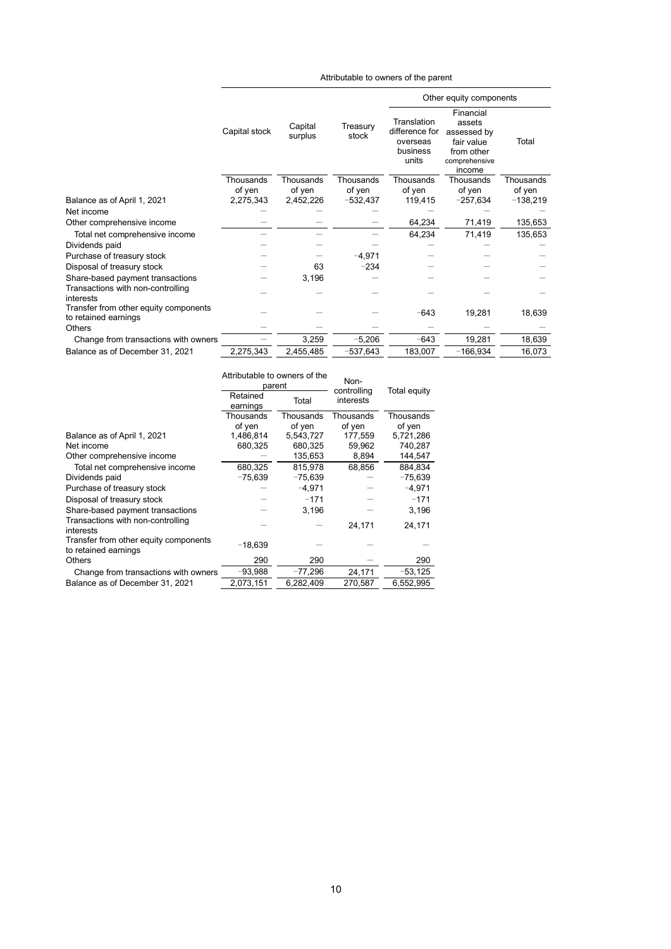|                                                               |               |                    |                   |                                                                | Other equity components                                                                   |            |
|---------------------------------------------------------------|---------------|--------------------|-------------------|----------------------------------------------------------------|-------------------------------------------------------------------------------------------|------------|
|                                                               | Capital stock | Capital<br>surplus | Treasury<br>stock | Translation<br>difference for<br>overseas<br>business<br>units | Financial<br>assets<br>assessed by<br>fair value<br>from other<br>comprehensive<br>income | Total      |
|                                                               | Thousands     | Thousands          | Thousands         | Thousands                                                      | Thousands                                                                                 | Thousands  |
|                                                               | of yen        | of yen             | of yen            | of yen                                                         | of yen                                                                                    | of yen     |
| Balance as of April 1, 2021                                   | 2,275,343     | 2,452,226          | $-532,437$        | 119,415                                                        | $-257,634$                                                                                | $-138,219$ |
| Net income                                                    |               |                    |                   |                                                                |                                                                                           |            |
| Other comprehensive income                                    |               |                    |                   | 64,234                                                         | 71,419                                                                                    | 135,653    |
| Total net comprehensive income                                |               |                    |                   | 64,234                                                         | 71,419                                                                                    | 135,653    |
| Dividends paid                                                |               |                    |                   |                                                                |                                                                                           |            |
| Purchase of treasury stock                                    |               |                    | $-4,971$          |                                                                |                                                                                           |            |
| Disposal of treasury stock                                    |               | 63                 | $-234$            |                                                                |                                                                                           |            |
| Share-based payment transactions                              |               | 3,196              |                   |                                                                |                                                                                           |            |
| Transactions with non-controlling<br>interests                |               |                    |                   |                                                                |                                                                                           |            |
| Transfer from other equity components<br>to retained earnings |               |                    |                   | $-643$                                                         | 19,281                                                                                    | 18,639     |
| Others                                                        |               |                    |                   |                                                                |                                                                                           |            |
| Change from transactions with owners                          |               | 3,259              | $-5,206$          | $-643$                                                         | 19,281                                                                                    | 18,639     |
| Balance as of December 31, 2021                               | 2,275,343     | 2,455,485          | $-537,643$        | 183,007                                                        | $-166,934$                                                                                | 16,073     |

Attributable to owners of the parent

|                                                               | Attributable to owners of the<br>parent |           | Non-<br>controlling | Total equity |
|---------------------------------------------------------------|-----------------------------------------|-----------|---------------------|--------------|
|                                                               | Retained<br>earnings                    | Total     |                     |              |
|                                                               | Thousands                               | Thousands | Thousands           | Thousands    |
|                                                               | of yen                                  | of yen    | of yen              | of yen       |
| Balance as of April 1, 2021                                   | 1,486,814                               | 5,543,727 | 177,559             | 5,721,286    |
| Net income                                                    | 680,325                                 | 680,325   | 59,962              | 740,287      |
| Other comprehensive income                                    |                                         | 135,653   | 8,894               | 144,547      |
| Total net comprehensive income                                | 680.325                                 | 815.978   | 68.856              | 884.834      |
| Dividends paid                                                | $-75,639$                               | $-75,639$ |                     | $-75,639$    |
| Purchase of treasury stock                                    |                                         | $-4,971$  |                     | $-4,971$     |
| Disposal of treasury stock                                    |                                         | $-171$    |                     | $-171$       |
| Share-based payment transactions                              |                                         | 3.196     |                     | 3.196        |
| Transactions with non-controlling<br>interests                |                                         |           | 24,171              | 24,171       |
| Transfer from other equity components<br>to retained earnings | $-18,639$                               |           |                     |              |
| Others                                                        | 290                                     | 290       |                     | 290          |
| Change from transactions with owners                          | $-93,988$                               | $-77,296$ | 24,171              | $-53,125$    |
| Balance as of December 31, 2021                               | 2,073,151                               | 6,282,409 | 270,587             | 6,552,995    |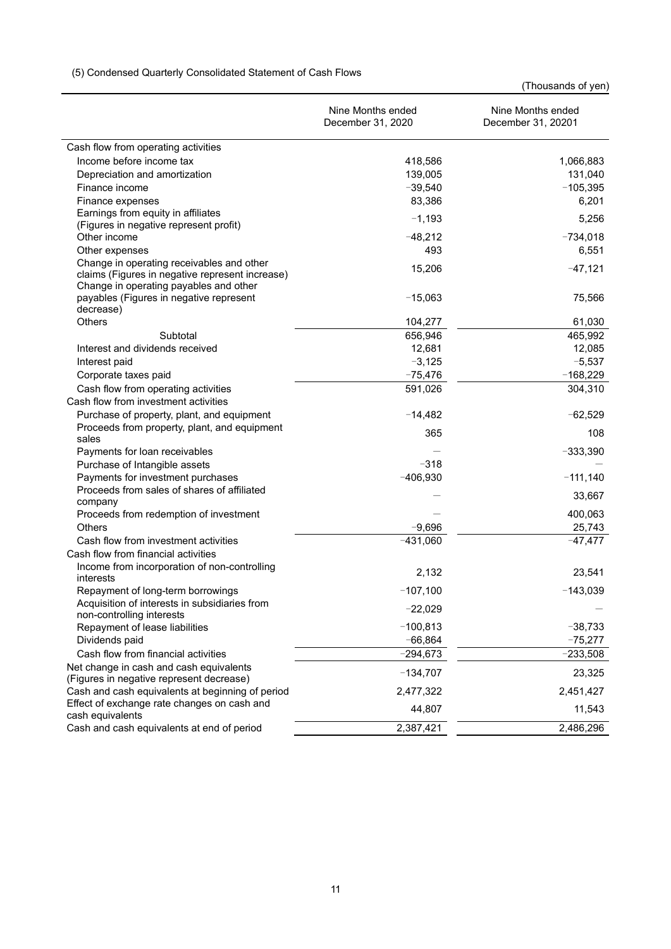|                                                                                           | Nine Months ended<br>December 31, 2020 | Nine Months ended<br>December 31, 20201 |
|-------------------------------------------------------------------------------------------|----------------------------------------|-----------------------------------------|
| Cash flow from operating activities                                                       |                                        |                                         |
| Income before income tax                                                                  | 418,586                                | 1,066,883                               |
| Depreciation and amortization                                                             | 139,005                                | 131,040                                 |
| Finance income                                                                            | $-39,540$                              | $-105,395$                              |
| Finance expenses                                                                          | 83,386                                 | 6,201                                   |
| Earnings from equity in affiliates                                                        | $-1,193$                               | 5,256                                   |
| (Figures in negative represent profit)                                                    |                                        |                                         |
| Other income                                                                              | $-48,212$                              | $-734,018$                              |
| Other expenses                                                                            | 493                                    | 6,551                                   |
| Change in operating receivables and other                                                 | 15,206                                 | $-47,121$                               |
| claims (Figures in negative represent increase)<br>Change in operating payables and other |                                        |                                         |
| payables (Figures in negative represent                                                   | $-15,063$                              | 75,566                                  |
| decrease)                                                                                 |                                        |                                         |
| <b>Others</b>                                                                             | 104,277                                | 61,030                                  |
| Subtotal                                                                                  | 656,946                                | 465,992                                 |
| Interest and dividends received                                                           | 12,681                                 | 12,085                                  |
| Interest paid                                                                             | $-3,125$                               | $-5,537$                                |
| Corporate taxes paid                                                                      | $-75,476$                              | $-168,229$                              |
| Cash flow from operating activities                                                       | 591,026                                | 304,310                                 |
| Cash flow from investment activities                                                      |                                        |                                         |
| Purchase of property, plant, and equipment                                                | $-14,482$                              | $-62,529$                               |
| Proceeds from property, plant, and equipment                                              | 365                                    | 108                                     |
| sales                                                                                     |                                        |                                         |
| Payments for loan receivables                                                             |                                        | $-333,390$                              |
| Purchase of Intangible assets                                                             | $-318$                                 |                                         |
| Payments for investment purchases                                                         | $-406,930$                             | $-111,140$                              |
| Proceeds from sales of shares of affiliated                                               |                                        | 33,667                                  |
| company                                                                                   |                                        |                                         |
| Proceeds from redemption of investment<br><b>Others</b>                                   | $-9,696$                               | 400,063                                 |
| Cash flow from investment activities                                                      |                                        | 25,743                                  |
| Cash flow from financial activities                                                       | $-431,060$                             | $-47,477$                               |
| Income from incorporation of non-controlling                                              |                                        |                                         |
| interests                                                                                 | 2,132                                  | 23,541                                  |
| Repayment of long-term borrowings                                                         | $-107,100$                             | $-143,039$                              |
| Acquisition of interests in subsidiaries from<br>non-controlling interests                | $-22,029$                              |                                         |
| Repayment of lease liabilities                                                            | $-100,813$                             | $-38,733$                               |
| Dividends paid                                                                            | $-66,864$                              | $-75,277$                               |
| Cash flow from financial activities                                                       | $-294,673$                             | $-233,508$                              |
| Net change in cash and cash equivalents                                                   |                                        |                                         |
| (Figures in negative represent decrease)                                                  | $-134,707$                             | 23,325                                  |
| Cash and cash equivalents at beginning of period                                          | 2,477,322                              | 2,451,427                               |
| Effect of exchange rate changes on cash and                                               | 44,807                                 | 11,543                                  |
| cash equivalents                                                                          |                                        |                                         |
| Cash and cash equivalents at end of period                                                | 2,387,421                              | 2,486,296                               |

# (5) Condensed Quarterly Consolidated Statement of Cash Flows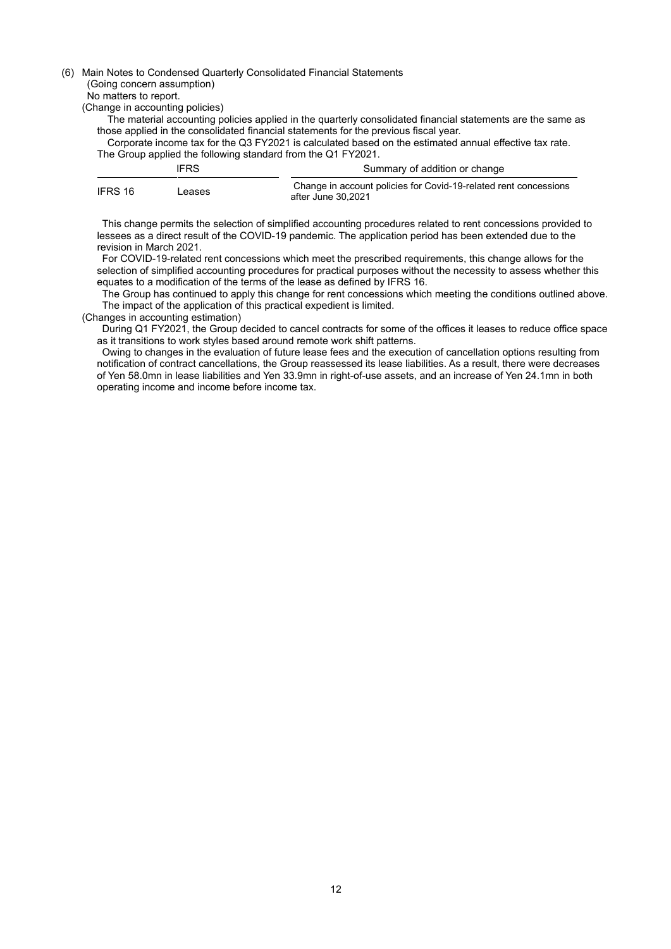#### (6) Main Notes to Condensed Quarterly Consolidated Financial Statements

#### (Going concern assumption)

No matters to report.

(Change in accounting policies)

- The material accounting policies applied in the quarterly consolidated financial statements are the same as those applied in the consolidated financial statements for the previous fiscal year.
- Corporate income tax for the Q3 FY2021 is calculated based on the estimated annual effective tax rate. The Group applied the following standard from the Q1 FY2021.

|         | <b>IFRS</b> | Summary of addition or change                                                          |
|---------|-------------|----------------------------------------------------------------------------------------|
| IFRS 16 | Leases      | Change in account policies for Covid-19-related rent concessions<br>after June 30.2021 |

This change permits the selection of simplified accounting procedures related to rent concessions provided to lessees as a direct result of the COVID-19 pandemic. The application period has been extended due to the revision in March 2021.

For COVID-19-related rent concessions which meet the prescribed requirements, this change allows for the selection of simplified accounting procedures for practical purposes without the necessity to assess whether this equates to a modification of the terms of the lease as defined by IFRS 16.

The Group has continued to apply this change for rent concessions which meeting the conditions outlined above. The impact of the application of this practical expedient is limited.

#### (Changes in accounting estimation)

During Q1 FY2021, the Group decided to cancel contracts for some of the offices it leases to reduce office space as it transitions to work styles based around remote work shift patterns.

Owing to changes in the evaluation of future lease fees and the execution of cancellation options resulting from notification of contract cancellations, the Group reassessed its lease liabilities. As a result, there were decreases of Yen 58.0mn in lease liabilities and Yen 33.9mn in right-of-use assets, and an increase of Yen 24.1mn in both operating income and income before income tax.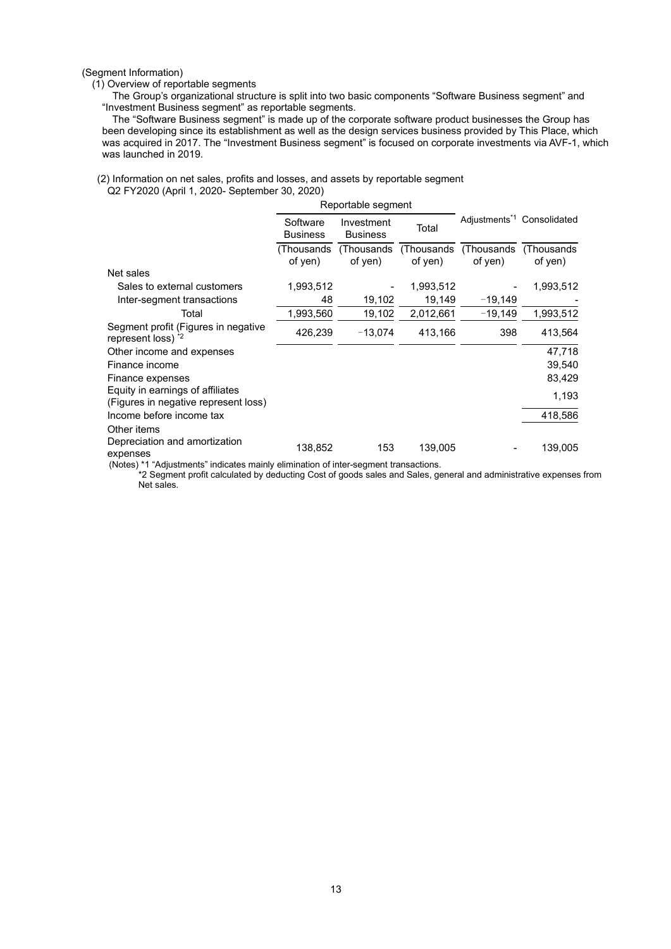(Segment Information)

#### (1) Overview of reportable segments

 The Group's organizational structure is split into two basic components "Software Business segment" and "Investment Business segment" as reportable segments.

The "Software Business segment" is made up of the corporate software product businesses the Group has been developing since its establishment as well as the design services business provided by This Place, which was acquired in 2017. The "Investment Business segment" is focused on corporate investments via AVF-1, which was launched in 2019.

#### (2) Information on net sales, profits and losses, and assets by reportable segment Q2 FY2020 (April 1, 2020- September 30, 2020)

|                                                                          |                             | Reportable segment                     |                       |                                        |                        |
|--------------------------------------------------------------------------|-----------------------------|----------------------------------------|-----------------------|----------------------------------------|------------------------|
|                                                                          | Software<br><b>Business</b> | Investment<br>Total<br><b>Business</b> |                       | Adjustments <sup>*1</sup> Consolidated |                        |
|                                                                          | (Thousands<br>of yen)       | (Thousands)<br>of yen)                 | (Thousands<br>of yen) | (Thousands)<br>of yen)                 | (Thousands)<br>of yen) |
| Net sales                                                                |                             |                                        |                       |                                        |                        |
| Sales to external customers                                              | 1,993,512                   |                                        | 1,993,512             |                                        | 1,993,512              |
| Inter-segment transactions                                               | 48                          | 19,102                                 | 19,149                | $-19,149$                              |                        |
| Total                                                                    | 1,993,560                   | 19,102                                 | 2,012,661             | $-19,149$                              | 1,993,512              |
| Segment profit (Figures in negative<br>represent loss) <sup>*2</sup>     | 426,239                     | $-13,074$                              | 413,166               | 398                                    | 413,564                |
| Other income and expenses                                                |                             |                                        |                       |                                        | 47,718                 |
| Finance income                                                           |                             |                                        |                       |                                        | 39,540                 |
| Finance expenses                                                         |                             |                                        |                       |                                        | 83,429                 |
| Equity in earnings of affiliates<br>(Figures in negative represent loss) |                             |                                        |                       |                                        | 1,193                  |
| Income before income tax                                                 |                             |                                        |                       |                                        | 418,586                |
| Other items<br>Depreciation and amortization<br>expenses                 | 138,852                     | 153                                    | 139,005               |                                        | 139,005                |

(Notes) \*1 "Adjustments" indicates mainly elimination of inter-segment transactions.

\*2 Segment profit calculated by deducting Cost of goods sales and Sales, general and administrative expenses from Net sales.